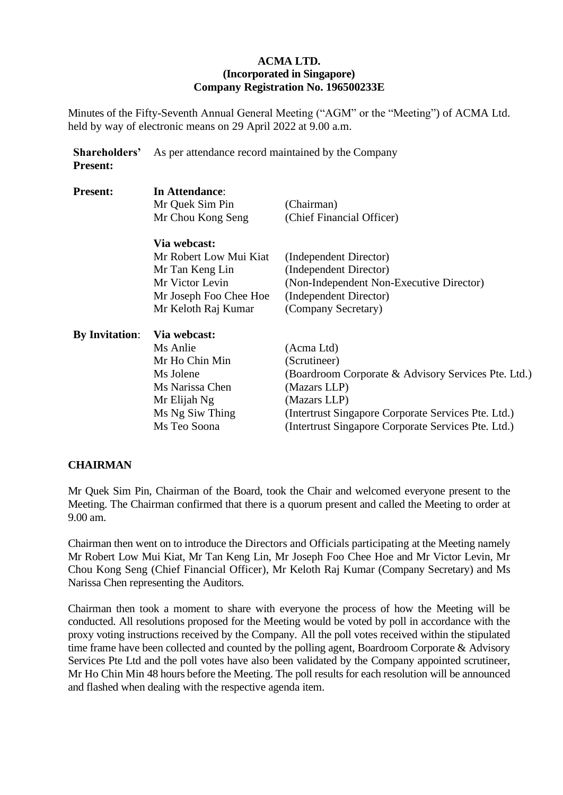### **ACMA LTD. (Incorporated in Singapore) Company Registration No. 196500233E**

Minutes of the Fifty-Seventh Annual General Meeting ("AGM" or the "Meeting") of ACMA Ltd. held by way of electronic means on 29 April 2022 at 9.00 a.m.

**Shareholders' Present:** As per attendance record maintained by the Company

| <b>Present:</b>       | In Attendance:<br>Mr Quek Sim Pin<br>Mr Chou Kong Seng                                                 | (Chairman)<br>(Chief Financial Officer)                                                                                |
|-----------------------|--------------------------------------------------------------------------------------------------------|------------------------------------------------------------------------------------------------------------------------|
|                       | Via webcast:<br>Mr Robert Low Mui Kiat<br>Mr Tan Keng Lin<br>Mr Victor Levin<br>Mr Joseph Foo Chee Hoe | (Independent Director)<br>(Independent Director)<br>(Non-Independent Non-Executive Director)<br>(Independent Director) |
|                       | Mr Keloth Raj Kumar                                                                                    | (Company Secretary)                                                                                                    |
| <b>By Invitation:</b> | Via webcast:                                                                                           |                                                                                                                        |
|                       | Ms Anlie                                                                                               | (Acma Ltd)                                                                                                             |
|                       | Mr Ho Chin Min                                                                                         | (Scrutineer)                                                                                                           |
|                       | Ms Jolene                                                                                              | (Boardroom Corporate & Advisory Services Pte. Ltd.)                                                                    |
|                       | Ms Narissa Chen                                                                                        | (Mazars LLP)                                                                                                           |
|                       | Mr Elijah Ng                                                                                           | (Mazars LLP)                                                                                                           |
|                       | Ms Ng Siw Thing                                                                                        | (Intertrust Singapore Corporate Services Pte. Ltd.)                                                                    |
|                       | Ms Teo Soona                                                                                           | (Intertrust Singapore Corporate Services Pte. Ltd.)                                                                    |

## **CHAIRMAN**

Mr Quek Sim Pin, Chairman of the Board, took the Chair and welcomed everyone present to the Meeting. The Chairman confirmed that there is a quorum present and called the Meeting to order at 9.00 am.

Chairman then went on to introduce the Directors and Officials participating at the Meeting namely Mr Robert Low Mui Kiat, Mr Tan Keng Lin, Mr Joseph Foo Chee Hoe and Mr Victor Levin, Mr Chou Kong Seng (Chief Financial Officer), Mr Keloth Raj Kumar (Company Secretary) and Ms Narissa Chen representing the Auditors.

Chairman then took a moment to share with everyone the process of how the Meeting will be conducted. All resolutions proposed for the Meeting would be voted by poll in accordance with the proxy voting instructions received by the Company. All the poll votes received within the stipulated time frame have been collected and counted by the polling agent, Boardroom Corporate & Advisory Services Pte Ltd and the poll votes have also been validated by the Company appointed scrutineer, Mr Ho Chin Min 48 hours before the Meeting. The poll results for each resolution will be announced and flashed when dealing with the respective agenda item.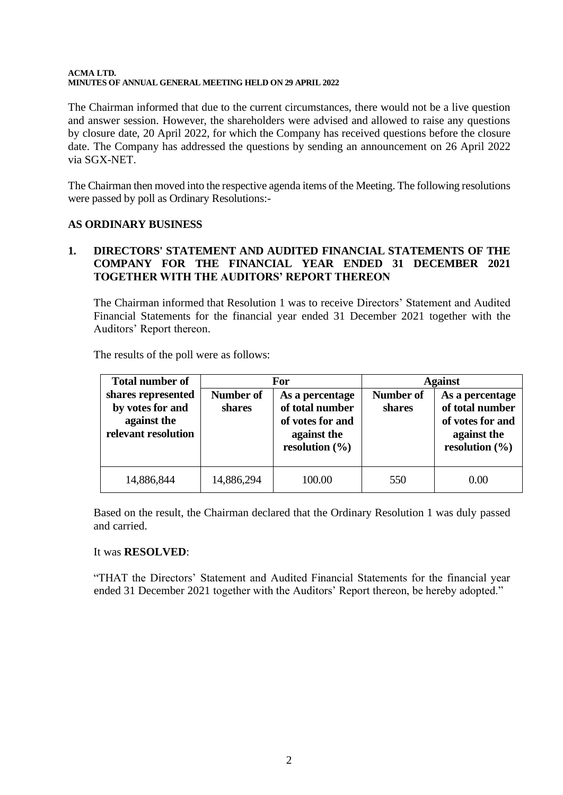The Chairman informed that due to the current circumstances, there would not be a live question and answer session. However, the shareholders were advised and allowed to raise any questions by closure date, 20 April 2022, for which the Company has received questions before the closure date. The Company has addressed the questions by sending an announcement on 26 April 2022 via SGX-NET.

The Chairman then moved into the respective agenda items of the Meeting. The following resolutions were passed by poll as Ordinary Resolutions:-

## **AS ORDINARY BUSINESS**

## **1. DIRECTORS' STATEMENT AND AUDITED FINANCIAL STATEMENTS OF THE COMPANY FOR THE FINANCIAL YEAR ENDED 31 DECEMBER 2021 TOGETHER WITH THE AUDITORS' REPORT THEREON**

The Chairman informed that Resolution 1 was to receive Directors' Statement and Audited Financial Statements for the financial year ended 31 December 2021 together with the Auditors' Report thereon.

The results of the poll were as follows:

| <b>Total number of</b>                                                       |                            | For                                                                                         | <b>Against</b>      |                                                                                             |
|------------------------------------------------------------------------------|----------------------------|---------------------------------------------------------------------------------------------|---------------------|---------------------------------------------------------------------------------------------|
| shares represented<br>by votes for and<br>against the<br>relevant resolution | <b>Number of</b><br>shares | As a percentage<br>of total number<br>of votes for and<br>against the<br>resolution $(\% )$ | Number of<br>shares | As a percentage<br>of total number<br>of votes for and<br>against the<br>resolution $(\% )$ |
| 14,886,844                                                                   | 14,886,294                 | 100.00                                                                                      | 550                 | 0.00                                                                                        |

Based on the result, the Chairman declared that the Ordinary Resolution 1 was duly passed and carried.

## It was **RESOLVED**:

"THAT the Directors' Statement and Audited Financial Statements for the financial year ended 31 December 2021 together with the Auditors' Report thereon, be hereby adopted."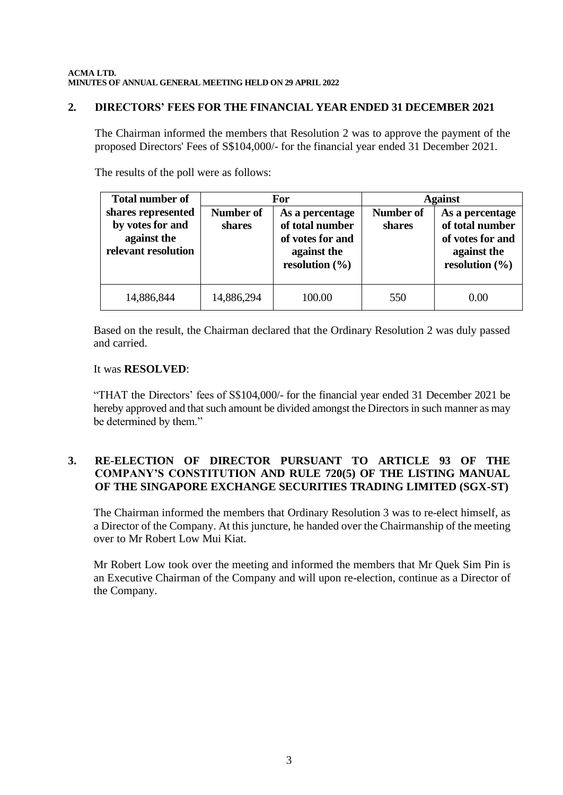### **2. DIRECTORS' FEES FOR THE FINANCIAL YEAR ENDED 31 DECEMBER 2021**

The Chairman informed the members that Resolution 2 was to approve the payment of the proposed Directors' Fees of S\$104,000/- for the financial year ended 31 December 2021.

The results of the poll were as follows:

| <b>Total number of</b>                                                       |                     | For                                                                                         | <b>Against</b>             |                                                                                             |
|------------------------------------------------------------------------------|---------------------|---------------------------------------------------------------------------------------------|----------------------------|---------------------------------------------------------------------------------------------|
| shares represented<br>by votes for and<br>against the<br>relevant resolution | Number of<br>shares | As a percentage<br>of total number<br>of votes for and<br>against the<br>resolution $(\% )$ | <b>Number of</b><br>shares | As a percentage<br>of total number<br>of votes for and<br>against the<br>resolution $(\% )$ |
| 14,886,844                                                                   | 14,886,294          | 100.00                                                                                      | 550                        | 0.00                                                                                        |

Based on the result, the Chairman declared that the Ordinary Resolution 2 was duly passed and carried.

#### It was **RESOLVED**:

"THAT the Directors' fees of S\$104,000/- for the financial year ended 31 December 2021 be hereby approved and that such amount be divided amongst the Directors in such manner as may be determined by them."

# **3. RE-ELECTION OF DIRECTOR PURSUANT TO ARTICLE 93 OF THE COMPANY'S CONSTITUTION AND RULE 720(5) OF THE LISTING MANUAL OF THE SINGAPORE EXCHANGE SECURITIES TRADING LIMITED (SGX-ST)**

The Chairman informed the members that Ordinary Resolution 3 was to re-elect himself, as a Director of the Company. At this juncture, he handed over the Chairmanship of the meeting over to Mr Robert Low Mui Kiat.

Mr Robert Low took over the meeting and informed the members that Mr Quek Sim Pin is an Executive Chairman of the Company and will upon re-election, continue as a Director of the Company.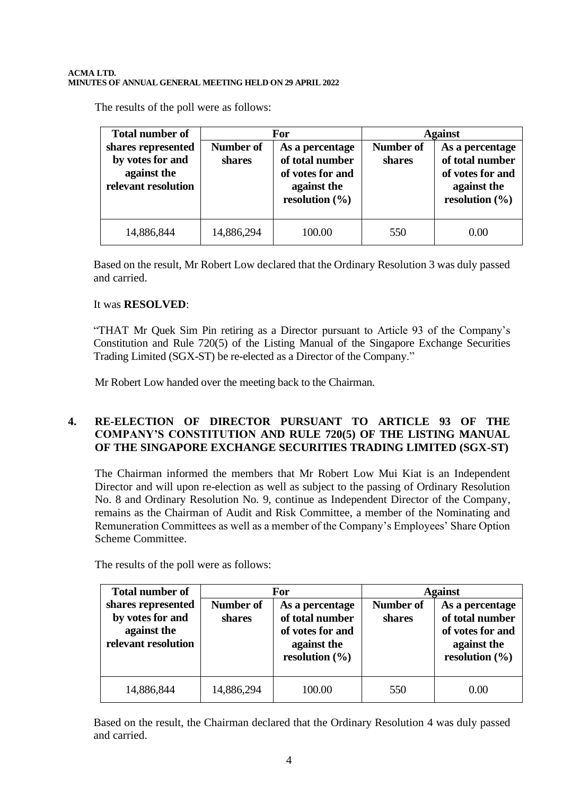The results of the poll were as follows:

| <b>Total number of</b>                                                       | For                        |                                                                                             | <b>Against</b>      |                                                                                             |
|------------------------------------------------------------------------------|----------------------------|---------------------------------------------------------------------------------------------|---------------------|---------------------------------------------------------------------------------------------|
| shares represented<br>by votes for and<br>against the<br>relevant resolution | <b>Number of</b><br>shares | As a percentage<br>of total number<br>of votes for and<br>against the<br>resolution $(\% )$ | Number of<br>shares | As a percentage<br>of total number<br>of votes for and<br>against the<br>resolution $(\% )$ |
| 14,886,844                                                                   | 14,886,294                 | 100.00                                                                                      | 550                 | 0.00                                                                                        |

Based on the result, Mr Robert Low declared that the Ordinary Resolution 3 was duly passed and carried.

## It was **RESOLVED**:

"THAT Mr Quek Sim Pin retiring as a Director pursuant to Article 93 of the Company's Constitution and Rule 720(5) of the Listing Manual of the Singapore Exchange Securities Trading Limited (SGX-ST) be re-elected as a Director of the Company."

Mr Robert Low handed over the meeting back to the Chairman.

## **4. RE-ELECTION OF DIRECTOR PURSUANT TO ARTICLE 93 OF THE COMPANY'S CONSTITUTION AND RULE 720(5) OF THE LISTING MANUAL OF THE SINGAPORE EXCHANGE SECURITIES TRADING LIMITED (SGX-ST)**

The Chairman informed the members that Mr Robert Low Mui Kiat is an Independent Director and will upon re-election as well as subject to the passing of Ordinary Resolution No. 8 and Ordinary Resolution No. 9, continue as Independent Director of the Company, remains as the Chairman of Audit and Risk Committee, a member of the Nominating and Remuneration Committees as well as a member of the Company's Employees' Share Option Scheme Committee.

| <b>Total number of</b>                                                       | For                        |                                                                                             | <b>Against</b>             |                                                                                             |
|------------------------------------------------------------------------------|----------------------------|---------------------------------------------------------------------------------------------|----------------------------|---------------------------------------------------------------------------------------------|
| shares represented<br>by votes for and<br>against the<br>relevant resolution | <b>Number of</b><br>shares | As a percentage<br>of total number<br>of votes for and<br>against the<br>resolution $(\% )$ | <b>Number of</b><br>shares | As a percentage<br>of total number<br>of votes for and<br>against the<br>resolution $(\% )$ |
| 14,886,844                                                                   | 14,886,294                 | 100.00                                                                                      | 550                        | 0.00                                                                                        |

The results of the poll were as follows:

Based on the result, the Chairman declared that the Ordinary Resolution 4 was duly passed and carried.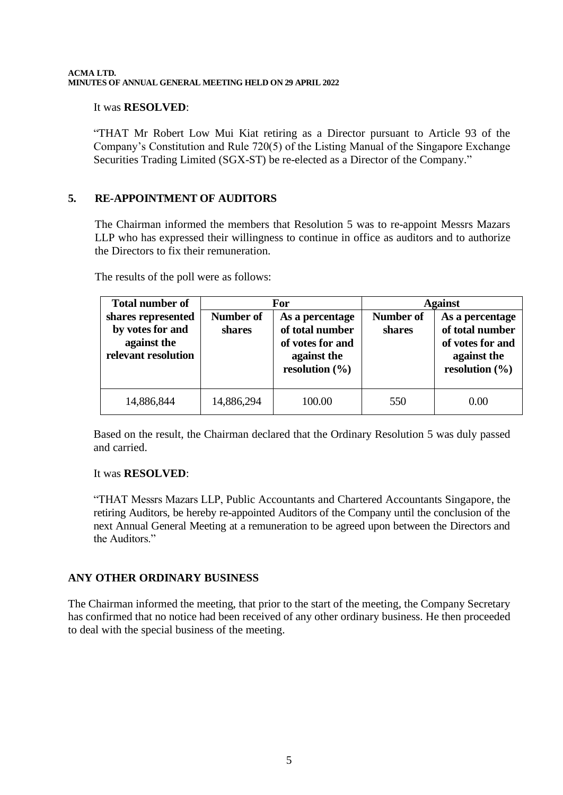#### It was **RESOLVED**:

"THAT Mr Robert Low Mui Kiat retiring as a Director pursuant to Article 93 of the Company's Constitution and Rule 720(5) of the Listing Manual of the Singapore Exchange Securities Trading Limited (SGX-ST) be re-elected as a Director of the Company."

## **5. RE-APPOINTMENT OF AUDITORS**

The Chairman informed the members that Resolution 5 was to re-appoint Messrs Mazars LLP who has expressed their willingness to continue in office as auditors and to authorize the Directors to fix their remuneration.

| <b>Total number of</b>                                                       | For                 |                                                                                             | <b>Against</b>      |                                                                                             |
|------------------------------------------------------------------------------|---------------------|---------------------------------------------------------------------------------------------|---------------------|---------------------------------------------------------------------------------------------|
| shares represented<br>by votes for and<br>against the<br>relevant resolution | Number of<br>shares | As a percentage<br>of total number<br>of votes for and<br>against the<br>resolution $(\% )$ | Number of<br>shares | As a percentage<br>of total number<br>of votes for and<br>against the<br>resolution $(\% )$ |
| 14,886,844                                                                   | 14,886,294          | 100.00                                                                                      | 550                 | 0.00                                                                                        |

The results of the poll were as follows:

Based on the result, the Chairman declared that the Ordinary Resolution 5 was duly passed and carried.

## It was **RESOLVED**:

"THAT Messrs Mazars LLP, Public Accountants and Chartered Accountants Singapore, the retiring Auditors, be hereby re-appointed Auditors of the Company until the conclusion of the next Annual General Meeting at a remuneration to be agreed upon between the Directors and the Auditors."

## **ANY OTHER ORDINARY BUSINESS**

The Chairman informed the meeting, that prior to the start of the meeting, the Company Secretary has confirmed that no notice had been received of any other ordinary business. He then proceeded to deal with the special business of the meeting.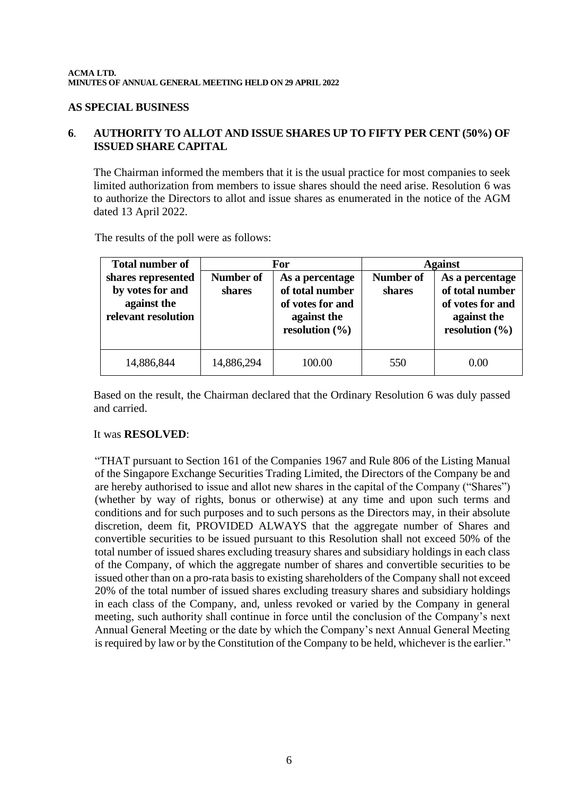#### **AS SPECIAL BUSINESS**

## **6**. **AUTHORITY TO ALLOT AND ISSUE SHARES UP TO FIFTY PER CENT (50%) OF ISSUED SHARE CAPITAL**

The Chairman informed the members that it is the usual practice for most companies to seek limited authorization from members to issue shares should the need arise. Resolution 6 was to authorize the Directors to allot and issue shares as enumerated in the notice of the AGM dated 13 April 2022.

The results of the poll were as follows:

| <b>Total number of</b>                                                       | For                        |                                                                                             | <b>Against</b>      |                                                                                             |
|------------------------------------------------------------------------------|----------------------------|---------------------------------------------------------------------------------------------|---------------------|---------------------------------------------------------------------------------------------|
| shares represented<br>by votes for and<br>against the<br>relevant resolution | <b>Number of</b><br>shares | As a percentage<br>of total number<br>of votes for and<br>against the<br>resolution $(\% )$ | Number of<br>shares | As a percentage<br>of total number<br>of votes for and<br>against the<br>resolution $(\% )$ |
| 14,886,844                                                                   | 14,886,294                 | 100.00                                                                                      | 550                 | 0.00                                                                                        |

Based on the result, the Chairman declared that the Ordinary Resolution 6 was duly passed and carried.

#### It was **RESOLVED**:

"THAT pursuant to Section 161 of the Companies 1967 and Rule 806 of the Listing Manual of the Singapore Exchange Securities Trading Limited, the Directors of the Company be and are hereby authorised to issue and allot new shares in the capital of the Company ("Shares") (whether by way of rights, bonus or otherwise) at any time and upon such terms and conditions and for such purposes and to such persons as the Directors may, in their absolute discretion, deem fit, PROVIDED ALWAYS that the aggregate number of Shares and convertible securities to be issued pursuant to this Resolution shall not exceed 50% of the total number of issued shares excluding treasury shares and subsidiary holdings in each class of the Company, of which the aggregate number of shares and convertible securities to be issued other than on a pro-rata basis to existing shareholders of the Company shall not exceed 20% of the total number of issued shares excluding treasury shares and subsidiary holdings in each class of the Company, and, unless revoked or varied by the Company in general meeting, such authority shall continue in force until the conclusion of the Company's next Annual General Meeting or the date by which the Company's next Annual General Meeting is required by law or by the Constitution of the Company to be held, whichever is the earlier."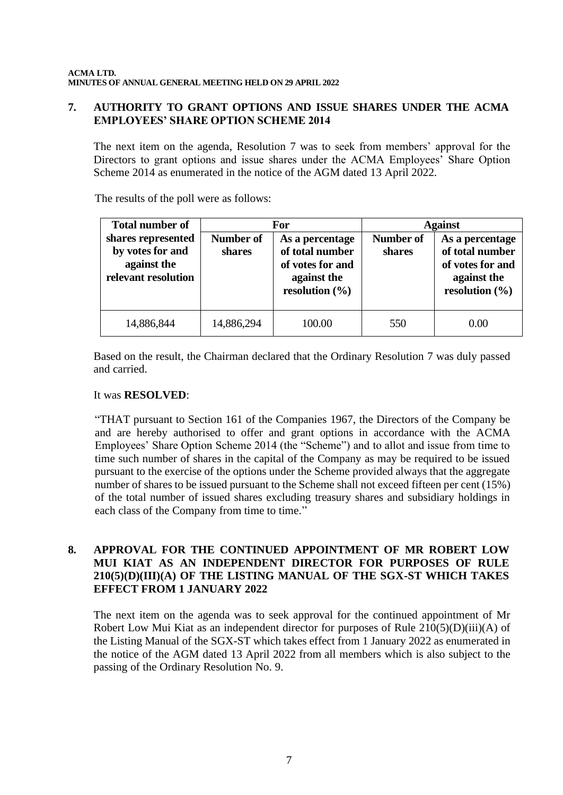## **7. AUTHORITY TO GRANT OPTIONS AND ISSUE SHARES UNDER THE ACMA EMPLOYEES' SHARE OPTION SCHEME 2014**

The next item on the agenda, Resolution 7 was to seek from members' approval for the Directors to grant options and issue shares under the ACMA Employees' Share Option Scheme 2014 as enumerated in the notice of the AGM dated 13 April 2022.

The results of the poll were as follows:

| <b>Total number of</b>                                                       |                            | For                                                                                         | <b>Against</b>      |                                                                                             |
|------------------------------------------------------------------------------|----------------------------|---------------------------------------------------------------------------------------------|---------------------|---------------------------------------------------------------------------------------------|
| shares represented<br>by votes for and<br>against the<br>relevant resolution | <b>Number of</b><br>shares | As a percentage<br>of total number<br>of votes for and<br>against the<br>resolution $(\% )$ | Number of<br>shares | As a percentage<br>of total number<br>of votes for and<br>against the<br>resolution $(\% )$ |
| 14,886,844                                                                   | 14,886,294                 | 100.00                                                                                      | 550                 | 0.00                                                                                        |

Based on the result, the Chairman declared that the Ordinary Resolution 7 was duly passed and carried.

### It was **RESOLVED**:

"THAT pursuant to Section 161 of the Companies 1967, the Directors of the Company be and are hereby authorised to offer and grant options in accordance with the ACMA Employees' Share Option Scheme 2014 (the "Scheme") and to allot and issue from time to time such number of shares in the capital of the Company as may be required to be issued pursuant to the exercise of the options under the Scheme provided always that the aggregate number of shares to be issued pursuant to the Scheme shall not exceed fifteen per cent (15%) of the total number of issued shares excluding treasury shares and subsidiary holdings in each class of the Company from time to time."

### **8. APPROVAL FOR THE CONTINUED APPOINTMENT OF MR ROBERT LOW MUI KIAT AS AN INDEPENDENT DIRECTOR FOR PURPOSES OF RULE 210(5)(D)(III)(A) OF THE LISTING MANUAL OF THE SGX-ST WHICH TAKES EFFECT FROM 1 JANUARY 2022**

The next item on the agenda was to seek approval for the continued appointment of Mr Robert Low Mui Kiat as an independent director for purposes of Rule  $210(5)(D)(iii)(A)$  of the Listing Manual of the SGX-ST which takes effect from 1 January 2022 as enumerated in the notice of the AGM dated 13 April 2022 from all members which is also subject to the passing of the Ordinary Resolution No. 9.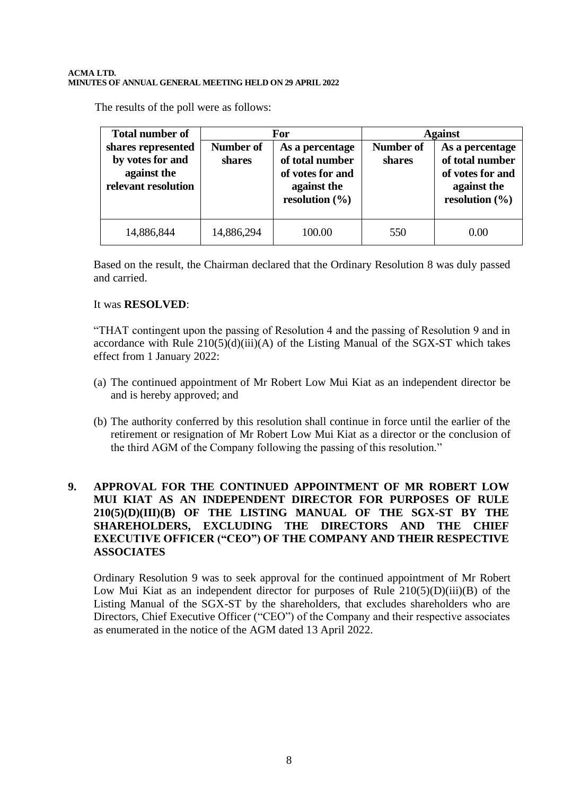The results of the poll were as follows:

| <b>Total number of</b>                                                       | For                        |                                                                                             | <b>Against</b>      |                                                                                             |
|------------------------------------------------------------------------------|----------------------------|---------------------------------------------------------------------------------------------|---------------------|---------------------------------------------------------------------------------------------|
| shares represented<br>by votes for and<br>against the<br>relevant resolution | <b>Number of</b><br>shares | As a percentage<br>of total number<br>of votes for and<br>against the<br>resolution $(\% )$ | Number of<br>shares | As a percentage<br>of total number<br>of votes for and<br>against the<br>resolution $(\% )$ |
| 14,886,844                                                                   | 14,886,294                 | 100.00                                                                                      | 550                 | 0.00                                                                                        |

Based on the result, the Chairman declared that the Ordinary Resolution 8 was duly passed and carried.

### It was **RESOLVED**:

"THAT contingent upon the passing of Resolution 4 and the passing of Resolution 9 and in accordance with Rule  $210(5)(d)(iii)(A)$  of the Listing Manual of the SGX-ST which takes effect from 1 January 2022:

- (a) The continued appointment of Mr Robert Low Mui Kiat as an independent director be and is hereby approved; and
- (b) The authority conferred by this resolution shall continue in force until the earlier of the retirement or resignation of Mr Robert Low Mui Kiat as a director or the conclusion of the third AGM of the Company following the passing of this resolution."

## **9. APPROVAL FOR THE CONTINUED APPOINTMENT OF MR ROBERT LOW MUI KIAT AS AN INDEPENDENT DIRECTOR FOR PURPOSES OF RULE 210(5)(D)(III)(B) OF THE LISTING MANUAL OF THE SGX-ST BY THE SHAREHOLDERS, EXCLUDING THE DIRECTORS AND THE CHIEF EXECUTIVE OFFICER ("CEO") OF THE COMPANY AND THEIR RESPECTIVE ASSOCIATES**

Ordinary Resolution 9 was to seek approval for the continued appointment of Mr Robert Low Mui Kiat as an independent director for purposes of Rule 210(5)(D)(iii)(B) of the Listing Manual of the SGX-ST by the shareholders, that excludes shareholders who are Directors, Chief Executive Officer ("CEO") of the Company and their respective associates as enumerated in the notice of the AGM dated 13 April 2022.